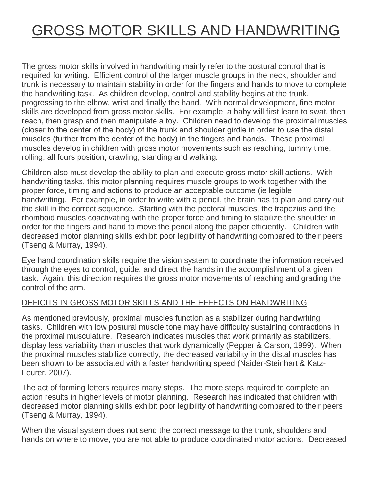## GROSS MOTOR SKILLS AND HANDWRITING

The gross motor skills involved in handwriting mainly refer to the postural control that is required for writing. Efficient control of the larger muscle groups in the neck, shoulder and trunk is necessary to maintain stability in order for the fingers and hands to move to complete the handwriting task. As children develop, control and stability begins at the trunk, progressing to the elbow, wrist and finally the hand. With normal development, fine motor skills are developed from gross motor skills. For example, a baby will first learn to swat, then reach, then grasp and then manipulate a toy. Children need to develop the proximal muscles (closer to the center of the body) of the trunk and shoulder girdle in order to use the distal muscles (further from the center of the body) in the fingers and hands. These proximal muscles develop in children with gross motor movements such as reaching, tummy time, rolling, all fours position, crawling, standing and walking.

Children also must develop the ability to plan and execute gross motor skill actions. With handwriting tasks, this motor planning requires muscle groups to work together with the proper force, timing and actions to produce an acceptable outcome (ie legible handwriting). For example, in order to write with a pencil, the brain has to plan and carry out the skill in the correct sequence. Starting with the pectoral muscles, the trapezius and the rhomboid muscles coactivating with the proper force and timing to stabilize the shoulder in order for the fingers and hand to move the pencil along the paper efficiently. Children with decreased motor planning skills exhibit poor legibility of handwriting compared to their peers (Tseng & Murray, 1994).

Eye hand coordination skills require the vision system to coordinate the information received through the eyes to control, guide, and direct the hands in the accomplishment of a given task. Again, this direction requires the gross motor movements of reaching and grading the control of the arm.

## DEFICITS IN GROSS MOTOR SKILLS AND THE EFFECTS ON HANDWRITING

As mentioned previously, proximal muscles function as a stabilizer during handwriting tasks. Children with low postural muscle tone may have difficulty sustaining contractions in the proximal musculature. Research indicates muscles that work primarily as stabilizers, display less variability than muscles that work dynamically (Pepper & Carson, 1999). When the proximal muscles stabilize correctly, the decreased variability in the distal muscles has been shown to be associated with a faster handwriting speed (Naider-Steinhart & Katz-Leurer, 2007).

The act of forming letters requires many steps. The more steps required to complete an action results in higher levels of motor planning. Research has indicated that children with decreased motor planning skills exhibit poor legibility of handwriting compared to their peers (Tseng & Murray, 1994).

When the visual system does not send the correct message to the trunk, shoulders and hands on where to move, you are not able to produce coordinated motor actions. Decreased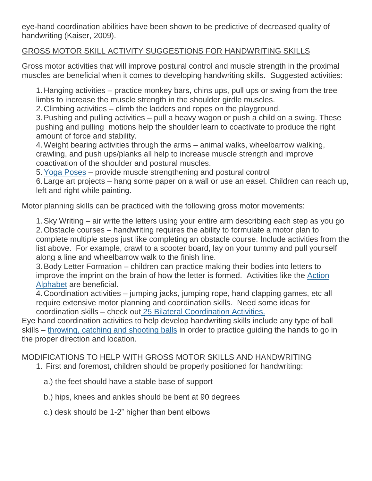eye-hand coordination abilities have been shown to be predictive of decreased quality of handwriting (Kaiser, 2009).

## GROSS MOTOR SKILL ACTIVITY SUGGESTIONS FOR HANDWRITING SKILLS

Gross motor activities that will improve postural control and muscle strength in the proximal muscles are beneficial when it comes to developing handwriting skills. Suggested activities:

1. Hanging activities – practice monkey bars, chins ups, pull ups or swing from the tree limbs to increase the muscle strength in the shoulder girdle muscles.

2. Climbing activities – climb the ladders and ropes on the playground.

3.Pushing and pulling activities – pull a heavy wagon or push a child on a swing. These pushing and pulling motions help the shoulder learn to coactivate to produce the right amount of force and stability.

4.Weight bearing activities through the arms – animal walks, wheelbarrow walking, crawling, and push ups/planks all help to increase muscle strength and improve coactivation of the shoulder and postural muscles.

5.Yoga [Poses](https://www.yourtherapysource.com/yogacards.html) – provide muscle strengthening and postural control

6. Large art projects – hang some paper on a wall or use an easel. Children can reach up, left and right while painting.

Motor planning skills can be practiced with the following gross motor movements:

1.Sky Writing – air write the letters using your entire arm describing each step as you go 2.Obstacle courses – handwriting requires the ability to formulate a motor plan to complete multiple steps just like completing an obstacle course. Include activities from the list above. For example, crawl to a scooter board, lay on your tummy and pull yourself along a line and wheelbarrow walk to the finish line.

3.Body Letter Formation – children can practice making their bodies into letters to improve the imprint on the brain of how the letter is formed. Activities like the [Action](https://www.yourtherapysource.com/actionalphabet.html) [Alphabet](https://www.yourtherapysource.com/actionalphabet.html) are beneficial.

4. Coordination activities – jumping jacks, jumping rope, hand clapping games, etc all require extensive motor planning and coordination skills. Need some ideas for coordination skills – check out 25 Bilateral [Coordination](https://www.yourtherapysource.com/bilateralcoordination.html) Activities.

Eye hand coordination activities to help develop handwriting skills include any type of ball skills – [throwing,](https://www.yourtherapysource.com/teachcatchthrowkick.html) catching and shooting balls in order to practice guiding the hands to go in the proper direction and location.

## MODIFICATIONS TO HELP WITH GROSS MOTOR SKILLS AND HANDWRITING

- 1. First and foremost, children should be properly positioned for handwriting:
	- a.) the feet should have a stable base of support
	- b.) hips, knees and ankles should be bent at 90 degrees
	- c.) desk should be 1-2" higher than bent elbows